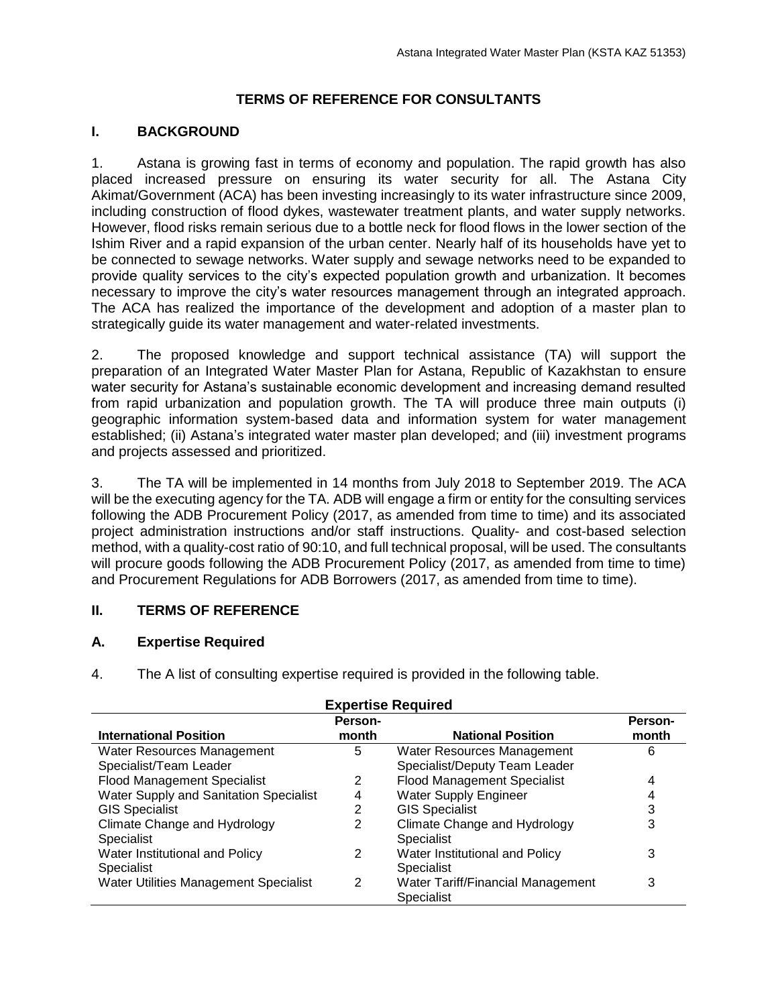## **TERMS OF REFERENCE FOR CONSULTANTS**

### **I. BACKGROUND**

1. Astana is growing fast in terms of economy and population. The rapid growth has also placed increased pressure on ensuring its water security for all. The Astana City Akimat/Government (ACA) has been investing increasingly to its water infrastructure since 2009, including construction of flood dykes, wastewater treatment plants, and water supply networks. However, flood risks remain serious due to a bottle neck for flood flows in the lower section of the Ishim River and a rapid expansion of the urban center. Nearly half of its households have yet to be connected to sewage networks. Water supply and sewage networks need to be expanded to provide quality services to the city's expected population growth and urbanization. It becomes necessary to improve the city's water resources management through an integrated approach. The ACA has realized the importance of the development and adoption of a master plan to strategically guide its water management and water-related investments.

2. The proposed knowledge and support technical assistance (TA) will support the preparation of an Integrated Water Master Plan for Astana, Republic of Kazakhstan to ensure water security for Astana's sustainable economic development and increasing demand resulted from rapid urbanization and population growth. The TA will produce three main outputs (i) geographic information system-based data and information system for water management established; (ii) Astana's integrated water master plan developed; and (iii) investment programs and projects assessed and prioritized.

3. The TA will be implemented in 14 months from July 2018 to September 2019. The ACA will be the executing agency for the TA. ADB will engage a firm or entity for the consulting services following the ADB Procurement Policy (2017, as amended from time to time) and its associated project administration instructions and/or staff instructions. Quality- and cost-based selection method, with a quality-cost ratio of 90:10, and full technical proposal, will be used. The consultants will procure goods following the ADB Procurement Policy (2017, as amended from time to time) and Procurement Regulations for ADB Borrowers (2017, as amended from time to time).

#### **II. TERMS OF REFERENCE**

## **A. Expertise Required**

4. The A list of consulting expertise required is provided in the following table.

| <b>Expertise Required</b>              |         |                                    |         |  |  |
|----------------------------------------|---------|------------------------------------|---------|--|--|
|                                        | Person- |                                    | Person- |  |  |
| <b>International Position</b>          | month   | <b>National Position</b>           | month   |  |  |
| Water Resources Management             | 5       | Water Resources Management         | 6       |  |  |
| Specialist/Team Leader                 |         | Specialist/Deputy Team Leader      |         |  |  |
| <b>Flood Management Specialist</b>     | 2       | <b>Flood Management Specialist</b> | 4       |  |  |
| Water Supply and Sanitation Specialist |         | <b>Water Supply Engineer</b>       | 4       |  |  |
| <b>GIS Specialist</b>                  | 2       | <b>GIS Specialist</b>              | 3       |  |  |
| Climate Change and Hydrology           | 2       | Climate Change and Hydrology       | 3       |  |  |
| <b>Specialist</b>                      |         | Specialist                         |         |  |  |
| Water Institutional and Policy         | 2       | Water Institutional and Policy     | 3       |  |  |
| <b>Specialist</b>                      |         | <b>Specialist</b>                  |         |  |  |
| Water Utilities Management Specialist  | 2       | Water Tariff/Financial Management  | 3       |  |  |
|                                        |         | Specialist                         |         |  |  |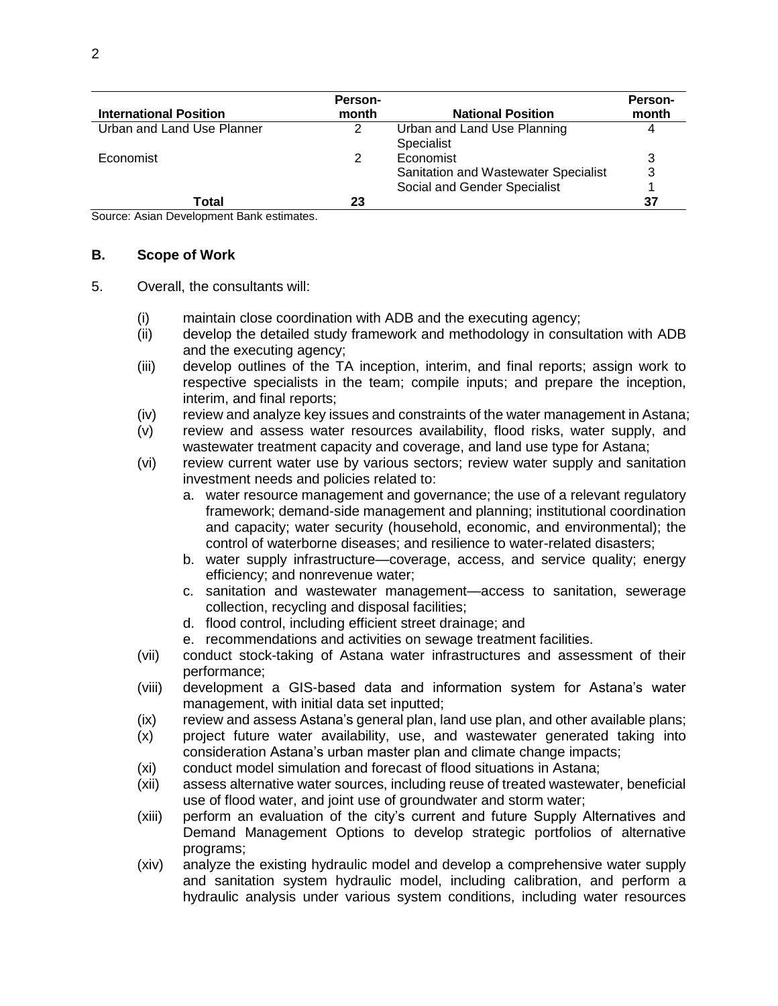| <b>International Position</b> | Person-<br>month | <b>National Position</b>                                                          | <b>Person-</b><br>month |
|-------------------------------|------------------|-----------------------------------------------------------------------------------|-------------------------|
| Urban and Land Use Planner    | 2                | Urban and Land Use Planning<br>Specialist                                         |                         |
| Economist                     |                  | Economist<br>Sanitation and Wastewater Specialist<br>Social and Gender Specialist | 3                       |
| Total                         | 23               |                                                                                   | 37                      |

Source: Asian Development Bank estimates.

#### **B. Scope of Work**

- 5. Overall, the consultants will:
	- (i) maintain close coordination with ADB and the executing agency;
	- (ii) develop the detailed study framework and methodology in consultation with ADB and the executing agency;
	- (iii) develop outlines of the TA inception, interim, and final reports; assign work to respective specialists in the team; compile inputs; and prepare the inception, interim, and final reports;
	- (iv) review and analyze key issues and constraints of the water management in Astana;
	- (v) review and assess water resources availability, flood risks, water supply, and wastewater treatment capacity and coverage, and land use type for Astana;
	- (vi) review current water use by various sectors; review water supply and sanitation investment needs and policies related to:
		- a. water resource management and governance; the use of a relevant regulatory framework; demand-side management and planning; institutional coordination and capacity; water security (household, economic, and environmental); the control of waterborne diseases; and resilience to water-related disasters;
		- b. water supply infrastructure—coverage, access, and service quality; energy efficiency; and nonrevenue water;
		- c. sanitation and wastewater management—access to sanitation, sewerage collection, recycling and disposal facilities;
		- d. flood control, including efficient street drainage; and
		- e. recommendations and activities on sewage treatment facilities.
	- (vii) conduct stock-taking of Astana water infrastructures and assessment of their performance;
	- (viii) development a GIS-based data and information system for Astana's water management, with initial data set inputted;
	- (ix) review and assess Astana's general plan, land use plan, and other available plans;
	- (x) project future water availability, use, and wastewater generated taking into consideration Astana's urban master plan and climate change impacts;
	- (xi) conduct model simulation and forecast of flood situations in Astana;
	- (xii) assess alternative water sources, including reuse of treated wastewater, beneficial use of flood water, and joint use of groundwater and storm water;
	- (xiii) perform an evaluation of the city's current and future Supply Alternatives and Demand Management Options to develop strategic portfolios of alternative programs;
	- (xiv) analyze the existing hydraulic model and develop a comprehensive water supply and sanitation system hydraulic model, including calibration, and perform a hydraulic analysis under various system conditions, including water resources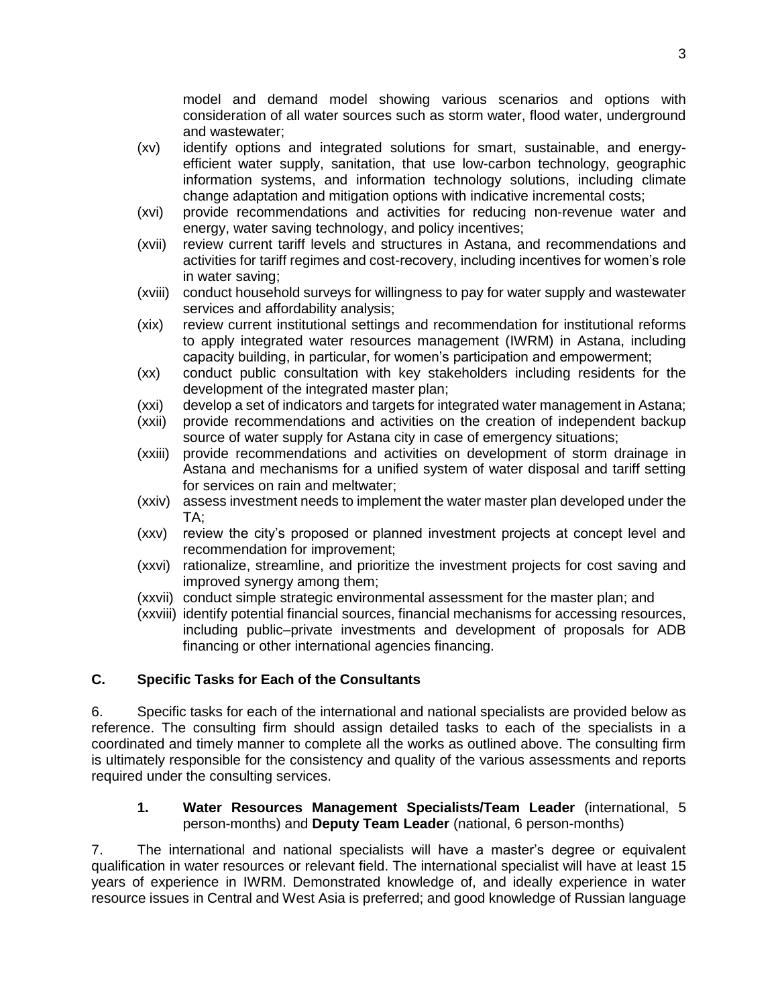model and demand model showing various scenarios and options with consideration of all water sources such as storm water, flood water, underground and wastewater;

- (xv) identify options and integrated solutions for smart, sustainable, and energyefficient water supply, sanitation, that use low-carbon technology, geographic information systems, and information technology solutions, including climate change adaptation and mitigation options with indicative incremental costs;
- (xvi) provide recommendations and activities for reducing non-revenue water and energy, water saving technology, and policy incentives;
- (xvii) review current tariff levels and structures in Astana, and recommendations and activities for tariff regimes and cost-recovery, including incentives for women's role in water saving;
- (xviii) conduct household surveys for willingness to pay for water supply and wastewater services and affordability analysis;
- (xix) review current institutional settings and recommendation for institutional reforms to apply integrated water resources management (IWRM) in Astana, including capacity building, in particular, for women's participation and empowerment;
- (xx) conduct public consultation with key stakeholders including residents for the development of the integrated master plan;
- (xxi) develop a set of indicators and targets for integrated water management in Astana;
- (xxii) provide recommendations and activities on the creation of independent backup source of water supply for Astana city in case of emergency situations;
- (xxiii) provide recommendations and activities on development of storm drainage in Astana and mechanisms for a unified system of water disposal and tariff setting for services on rain and meltwater;
- (xxiv) assess investment needs to implement the water master plan developed under the TA;
- (xxv) review the city's proposed or planned investment projects at concept level and recommendation for improvement;
- (xxvi) rationalize, streamline, and prioritize the investment projects for cost saving and improved synergy among them;
- (xxvii) conduct simple strategic environmental assessment for the master plan; and
- (xxviii) identify potential financial sources, financial mechanisms for accessing resources, including public–private investments and development of proposals for ADB financing or other international agencies financing.

## **C. Specific Tasks for Each of the Consultants**

6. Specific tasks for each of the international and national specialists are provided below as reference. The consulting firm should assign detailed tasks to each of the specialists in a coordinated and timely manner to complete all the works as outlined above. The consulting firm is ultimately responsible for the consistency and quality of the various assessments and reports required under the consulting services.

#### **1. Water Resources Management Specialists/Team Leader** (international, 5 person-months) and **Deputy Team Leader** (national, 6 person-months)

7. The international and national specialists will have a master's degree or equivalent qualification in water resources or relevant field. The international specialist will have at least 15 years of experience in IWRM. Demonstrated knowledge of, and ideally experience in water resource issues in Central and West Asia is preferred; and good knowledge of Russian language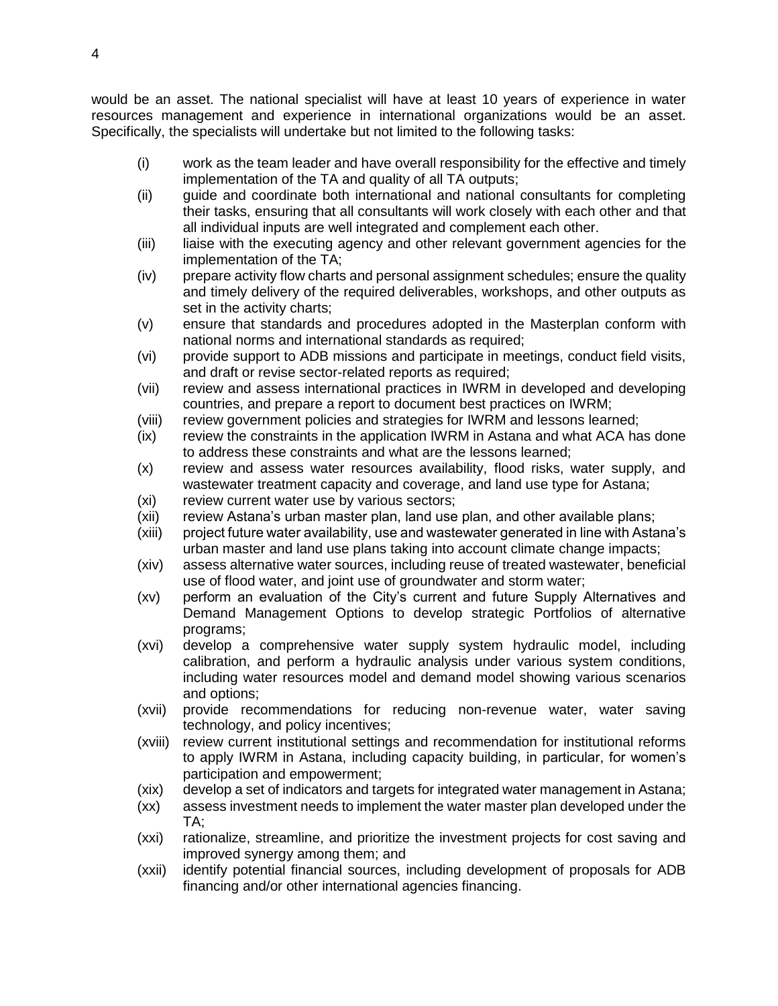would be an asset. The national specialist will have at least 10 years of experience in water resources management and experience in international organizations would be an asset. Specifically, the specialists will undertake but not limited to the following tasks:

- (i) work as the team leader and have overall responsibility for the effective and timely implementation of the TA and quality of all TA outputs;
- (ii) guide and coordinate both international and national consultants for completing their tasks, ensuring that all consultants will work closely with each other and that all individual inputs are well integrated and complement each other.
- (iii) liaise with the executing agency and other relevant government agencies for the implementation of the TA;
- (iv) prepare activity flow charts and personal assignment schedules; ensure the quality and timely delivery of the required deliverables, workshops, and other outputs as set in the activity charts;
- (v) ensure that standards and procedures adopted in the Masterplan conform with national norms and international standards as required;
- (vi) provide support to ADB missions and participate in meetings, conduct field visits, and draft or revise sector-related reports as required;
- (vii) review and assess international practices in IWRM in developed and developing countries, and prepare a report to document best practices on IWRM;
- (viii) review government policies and strategies for IWRM and lessons learned;
- (ix) review the constraints in the application IWRM in Astana and what ACA has done to address these constraints and what are the lessons learned;
- (x) review and assess water resources availability, flood risks, water supply, and wastewater treatment capacity and coverage, and land use type for Astana;
- (xi) review current water use by various sectors;
- (xii) review Astana's urban master plan, land use plan, and other available plans;
- (xiii) project future water availability, use and wastewater generated in line with Astana's urban master and land use plans taking into account climate change impacts;
- (xiv) assess alternative water sources, including reuse of treated wastewater, beneficial use of flood water, and joint use of groundwater and storm water;
- (xv) perform an evaluation of the City's current and future Supply Alternatives and Demand Management Options to develop strategic Portfolios of alternative programs;
- (xvi) develop a comprehensive water supply system hydraulic model, including calibration, and perform a hydraulic analysis under various system conditions, including water resources model and demand model showing various scenarios and options;
- (xvii) provide recommendations for reducing non-revenue water, water saving technology, and policy incentives;
- (xviii) review current institutional settings and recommendation for institutional reforms to apply IWRM in Astana, including capacity building, in particular, for women's participation and empowerment;
- (xix) develop a set of indicators and targets for integrated water management in Astana;
- (xx) assess investment needs to implement the water master plan developed under the TA;
- (xxi) rationalize, streamline, and prioritize the investment projects for cost saving and improved synergy among them; and
- (xxii) identify potential financial sources, including development of proposals for ADB financing and/or other international agencies financing.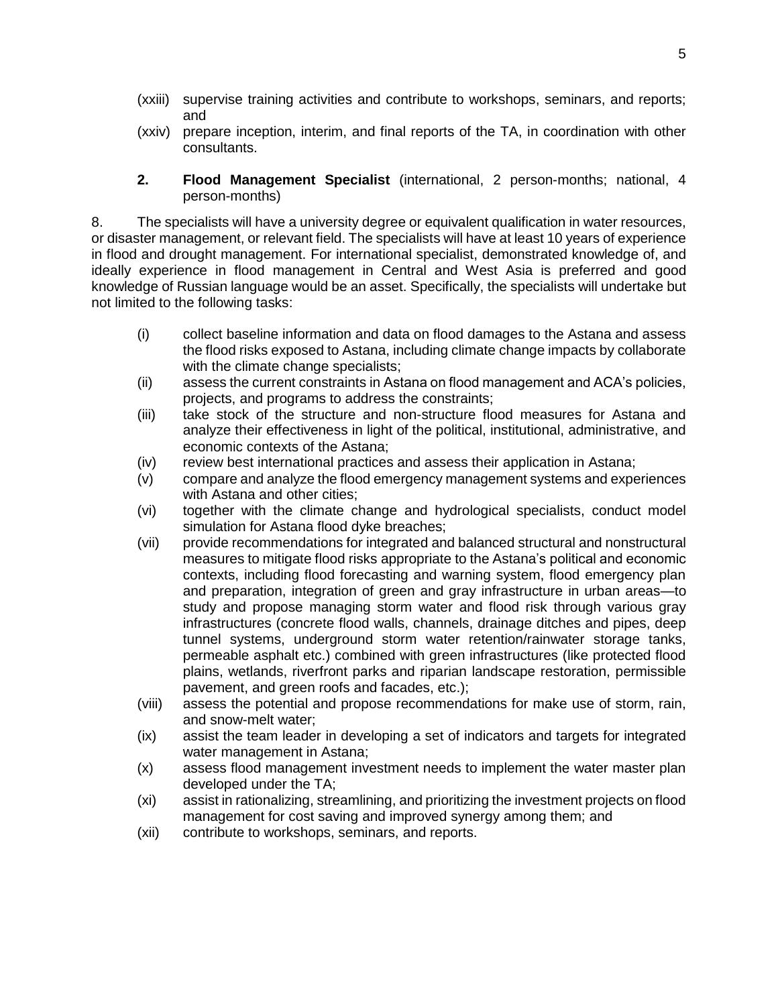- (xxiii) supervise training activities and contribute to workshops, seminars, and reports; and
- (xxiv) prepare inception, interim, and final reports of the TA, in coordination with other consultants.
- **2. Flood Management Specialist** (international, 2 person-months; national, 4 person-months)

8. The specialists will have a university degree or equivalent qualification in water resources, or disaster management, or relevant field. The specialists will have at least 10 years of experience in flood and drought management. For international specialist, demonstrated knowledge of, and ideally experience in flood management in Central and West Asia is preferred and good knowledge of Russian language would be an asset. Specifically, the specialists will undertake but not limited to the following tasks:

- (i) collect baseline information and data on flood damages to the Astana and assess the flood risks exposed to Astana, including climate change impacts by collaborate with the climate change specialists;
- (ii) assess the current constraints in Astana on flood management and ACA's policies, projects, and programs to address the constraints;
- (iii) take stock of the structure and non-structure flood measures for Astana and analyze their effectiveness in light of the political, institutional, administrative, and economic contexts of the Astana;
- (iv) review best international practices and assess their application in Astana;
- (v) compare and analyze the flood emergency management systems and experiences with Astana and other cities;
- (vi) together with the climate change and hydrological specialists, conduct model simulation for Astana flood dyke breaches;
- (vii) provide recommendations for integrated and balanced structural and nonstructural measures to mitigate flood risks appropriate to the Astana's political and economic contexts, including flood forecasting and warning system, flood emergency plan and preparation, integration of green and gray infrastructure in urban areas—to study and propose managing storm water and flood risk through various gray infrastructures (concrete flood walls, channels, drainage ditches and pipes, deep tunnel systems, underground storm water retention/rainwater storage tanks, permeable asphalt etc.) combined with green infrastructures (like protected flood plains, wetlands, riverfront parks and riparian landscape restoration, permissible pavement, and green roofs and facades, etc.);
- (viii) assess the potential and propose recommendations for make use of storm, rain, and snow-melt water;
- (ix) assist the team leader in developing a set of indicators and targets for integrated water management in Astana;
- (x) assess flood management investment needs to implement the water master plan developed under the TA;
- (xi) assist in rationalizing, streamlining, and prioritizing the investment projects on flood management for cost saving and improved synergy among them; and
- (xii) contribute to workshops, seminars, and reports.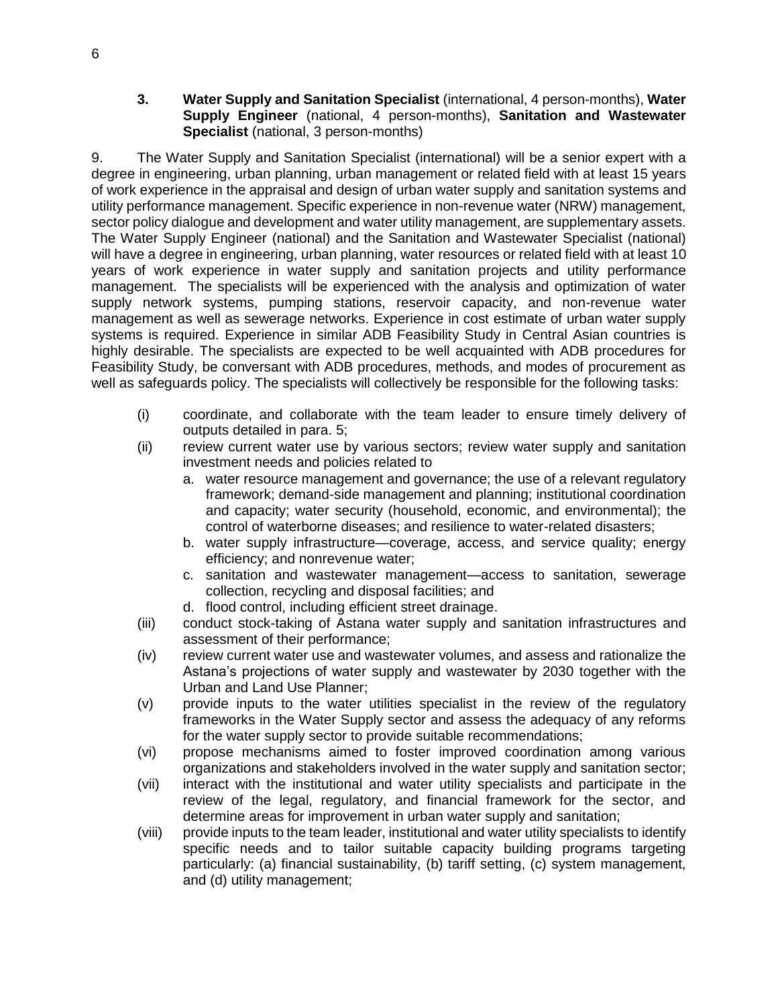**3. Water Supply and Sanitation Specialist** (international, 4 person-months), **Water Supply Engineer** (national, 4 person-months), **Sanitation and Wastewater Specialist** (national, 3 person-months)

9. The Water Supply and Sanitation Specialist (international) will be a senior expert with a degree in engineering, urban planning, urban management or related field with at least 15 years of work experience in the appraisal and design of urban water supply and sanitation systems and utility performance management. Specific experience in non-revenue water (NRW) management, sector policy dialogue and development and water utility management, are supplementary assets. The Water Supply Engineer (national) and the Sanitation and Wastewater Specialist (national) will have a degree in engineering, urban planning, water resources or related field with at least 10 years of work experience in water supply and sanitation projects and utility performance management. The specialists will be experienced with the analysis and optimization of water supply network systems, pumping stations, reservoir capacity, and non-revenue water management as well as sewerage networks. Experience in cost estimate of urban water supply systems is required. Experience in similar ADB Feasibility Study in Central Asian countries is highly desirable. The specialists are expected to be well acquainted with ADB procedures for Feasibility Study, be conversant with ADB procedures, methods, and modes of procurement as well as safeguards policy. The specialists will collectively be responsible for the following tasks:

- (i) coordinate, and collaborate with the team leader to ensure timely delivery of outputs detailed in para. 5;
- (ii) review current water use by various sectors; review water supply and sanitation investment needs and policies related to
	- a. water resource management and governance; the use of a relevant regulatory framework; demand-side management and planning; institutional coordination and capacity; water security (household, economic, and environmental); the control of waterborne diseases; and resilience to water-related disasters;
	- b. water supply infrastructure—coverage, access, and service quality; energy efficiency; and nonrevenue water;
	- c. sanitation and wastewater management—access to sanitation, sewerage collection, recycling and disposal facilities; and
	- d. flood control, including efficient street drainage.
- (iii) conduct stock-taking of Astana water supply and sanitation infrastructures and assessment of their performance;
- (iv) review current water use and wastewater volumes, and assess and rationalize the Astana's projections of water supply and wastewater by 2030 together with the Urban and Land Use Planner;
- (v) provide inputs to the water utilities specialist in the review of the regulatory frameworks in the Water Supply sector and assess the adequacy of any reforms for the water supply sector to provide suitable recommendations;
- (vi) propose mechanisms aimed to foster improved coordination among various organizations and stakeholders involved in the water supply and sanitation sector;
- (vii) interact with the institutional and water utility specialists and participate in the review of the legal, regulatory, and financial framework for the sector, and determine areas for improvement in urban water supply and sanitation;
- (viii) provide inputs to the team leader, institutional and water utility specialists to identify specific needs and to tailor suitable capacity building programs targeting particularly: (a) financial sustainability, (b) tariff setting, (c) system management, and (d) utility management;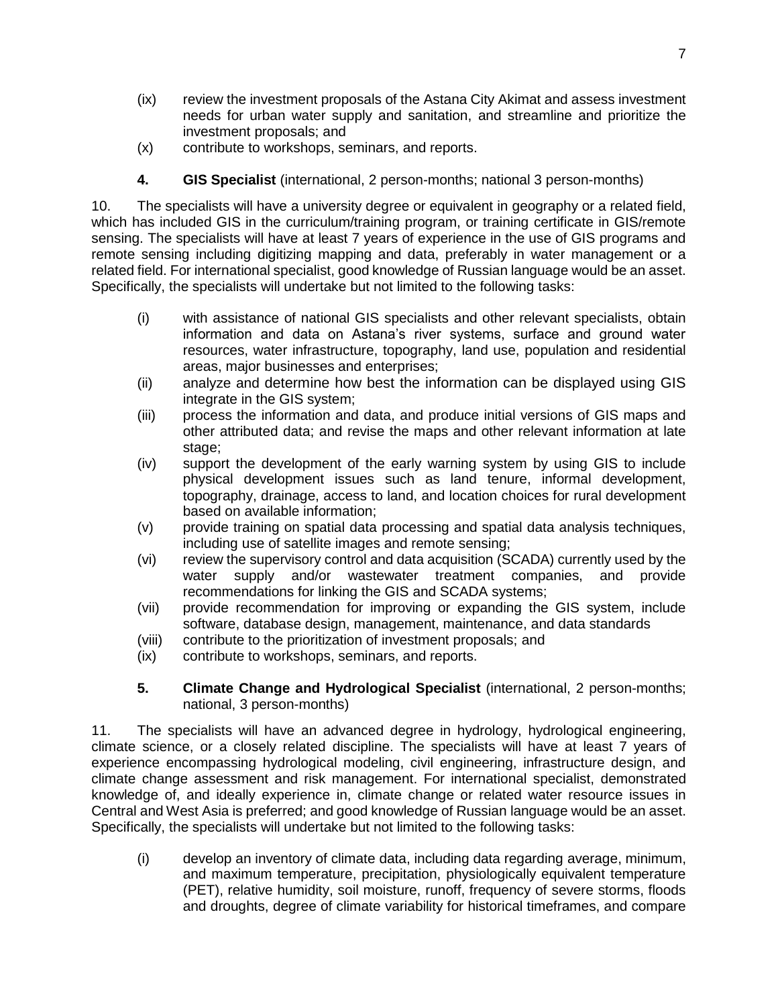- (ix) review the investment proposals of the Astana City Akimat and assess investment needs for urban water supply and sanitation, and streamline and prioritize the investment proposals; and
- (x) contribute to workshops, seminars, and reports.
- **4. GIS Specialist** (international, 2 person-months; national 3 person-months)

10. The specialists will have a university degree or equivalent in geography or a related field, which has included GIS in the curriculum/training program, or training certificate in GIS/remote sensing. The specialists will have at least 7 years of experience in the use of GIS programs and remote sensing including digitizing mapping and data, preferably in water management or a related field. For international specialist, good knowledge of Russian language would be an asset. Specifically, the specialists will undertake but not limited to the following tasks:

- (i) with assistance of national GIS specialists and other relevant specialists, obtain information and data on Astana's river systems, surface and ground water resources, water infrastructure, topography, land use, population and residential areas, major businesses and enterprises;
- (ii) analyze and determine how best the information can be displayed using GIS integrate in the GIS system;
- (iii) process the information and data, and produce initial versions of GIS maps and other attributed data; and revise the maps and other relevant information at late stage;
- (iv) support the development of the early warning system by using GIS to include physical development issues such as land tenure, informal development, topography, drainage, access to land, and location choices for rural development based on available information;
- (v) provide training on spatial data processing and spatial data analysis techniques, including use of satellite images and remote sensing;
- (vi) review the supervisory control and data acquisition (SCADA) currently used by the water supply and/or wastewater treatment companies, and provide recommendations for linking the GIS and SCADA systems;
- (vii) provide recommendation for improving or expanding the GIS system, include software, database design, management, maintenance, and data standards
- (viii) contribute to the prioritization of investment proposals; and
- (ix) contribute to workshops, seminars, and reports.
- **5. Climate Change and Hydrological Specialist** (international, 2 person-months; national, 3 person-months)

11. The specialists will have an advanced degree in hydrology, hydrological engineering, climate science, or a closely related discipline. The specialists will have at least 7 years of experience encompassing hydrological modeling, civil engineering, infrastructure design, and climate change assessment and risk management. For international specialist, demonstrated knowledge of, and ideally experience in, climate change or related water resource issues in Central and West Asia is preferred; and good knowledge of Russian language would be an asset. Specifically, the specialists will undertake but not limited to the following tasks:

(i) develop an inventory of climate data, including data regarding average, minimum, and maximum temperature, precipitation, physiologically equivalent temperature (PET), relative humidity, soil moisture, runoff, frequency of severe storms, floods and droughts, degree of climate variability for historical timeframes, and compare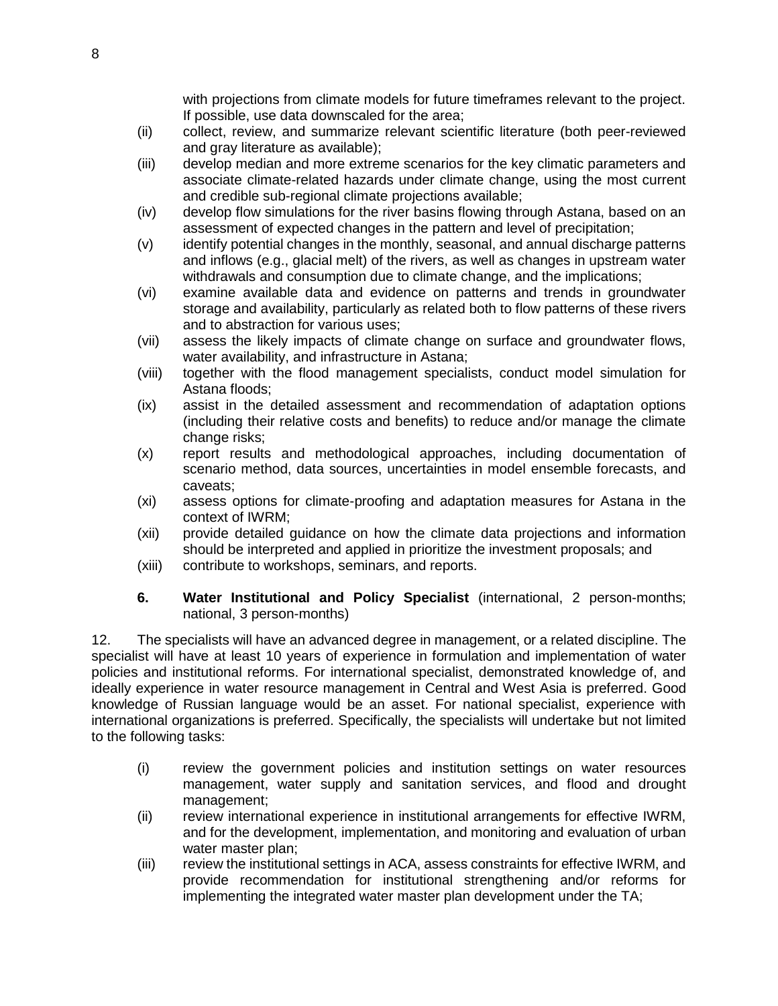with projections from climate models for future timeframes relevant to the project. If possible, use data downscaled for the area;

- (ii) collect, review, and summarize relevant scientific literature (both peer-reviewed and gray literature as available);
- (iii) develop median and more extreme scenarios for the key climatic parameters and associate climate-related hazards under climate change, using the most current and credible sub-regional climate projections available;
- (iv) develop flow simulations for the river basins flowing through Astana, based on an assessment of expected changes in the pattern and level of precipitation;
- (v) identify potential changes in the monthly, seasonal, and annual discharge patterns and inflows (e.g., glacial melt) of the rivers, as well as changes in upstream water withdrawals and consumption due to climate change, and the implications;
- (vi) examine available data and evidence on patterns and trends in groundwater storage and availability, particularly as related both to flow patterns of these rivers and to abstraction for various uses;
- (vii) assess the likely impacts of climate change on surface and groundwater flows, water availability, and infrastructure in Astana;
- (viii) together with the flood management specialists, conduct model simulation for Astana floods;
- (ix) assist in the detailed assessment and recommendation of adaptation options (including their relative costs and benefits) to reduce and/or manage the climate change risks;
- (x) report results and methodological approaches, including documentation of scenario method, data sources, uncertainties in model ensemble forecasts, and caveats;
- (xi) assess options for climate-proofing and adaptation measures for Astana in the context of IWRM;
- (xii) provide detailed guidance on how the climate data projections and information should be interpreted and applied in prioritize the investment proposals; and
- (xiii) contribute to workshops, seminars, and reports.
- **6. Water Institutional and Policy Specialist** (international, 2 person-months; national, 3 person-months)

12. The specialists will have an advanced degree in management, or a related discipline. The specialist will have at least 10 years of experience in formulation and implementation of water policies and institutional reforms. For international specialist, demonstrated knowledge of, and ideally experience in water resource management in Central and West Asia is preferred. Good knowledge of Russian language would be an asset. For national specialist, experience with international organizations is preferred. Specifically, the specialists will undertake but not limited to the following tasks:

- (i) review the government policies and institution settings on water resources management, water supply and sanitation services, and flood and drought management;
- (ii) review international experience in institutional arrangements for effective IWRM, and for the development, implementation, and monitoring and evaluation of urban water master plan:
- (iii) review the institutional settings in ACA, assess constraints for effective IWRM, and provide recommendation for institutional strengthening and/or reforms for implementing the integrated water master plan development under the TA;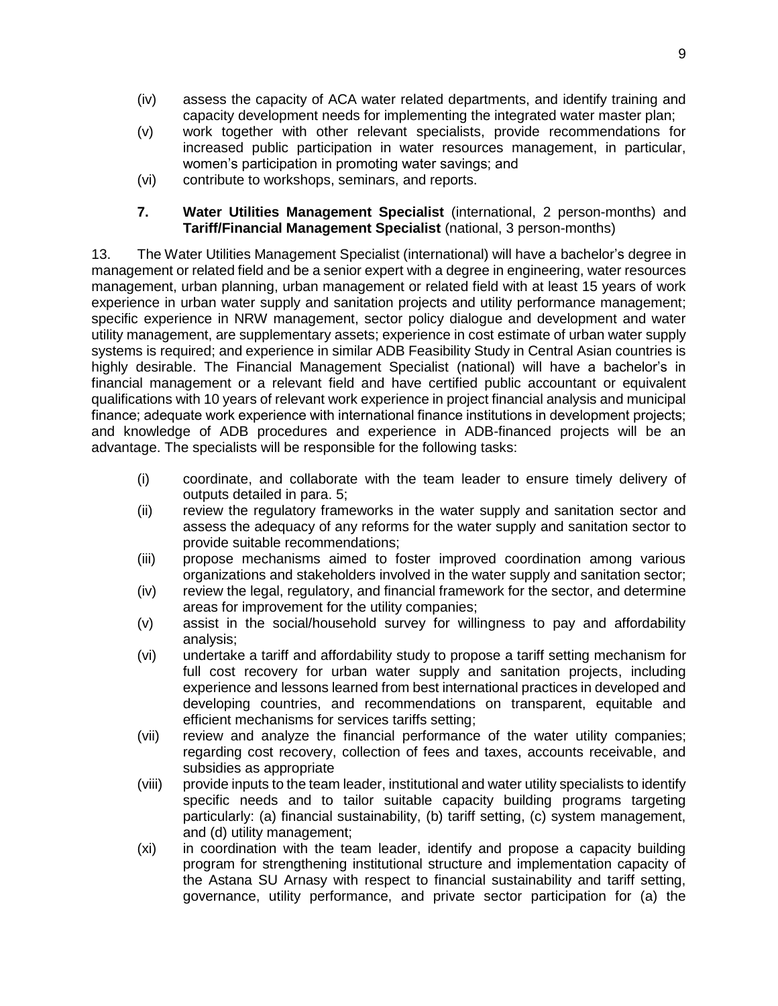- (iv) assess the capacity of ACA water related departments, and identify training and capacity development needs for implementing the integrated water master plan;
- (v) work together with other relevant specialists, provide recommendations for increased public participation in water resources management, in particular, women's participation in promoting water savings; and
- (vi) contribute to workshops, seminars, and reports.
- **7. Water Utilities Management Specialist** (international, 2 person-months) and **Tariff/Financial Management Specialist** (national, 3 person-months)

13. The Water Utilities Management Specialist (international) will have a bachelor's degree in management or related field and be a senior expert with a degree in engineering, water resources management, urban planning, urban management or related field with at least 15 years of work experience in urban water supply and sanitation projects and utility performance management; specific experience in NRW management, sector policy dialogue and development and water utility management, are supplementary assets; experience in cost estimate of urban water supply systems is required; and experience in similar ADB Feasibility Study in Central Asian countries is highly desirable. The Financial Management Specialist (national) will have a bachelor's in financial management or a relevant field and have certified public accountant or equivalent qualifications with 10 years of relevant work experience in project financial analysis and municipal finance; adequate work experience with international finance institutions in development projects; and knowledge of ADB procedures and experience in ADB-financed projects will be an advantage. The specialists will be responsible for the following tasks:

- (i) coordinate, and collaborate with the team leader to ensure timely delivery of outputs detailed in para. 5;
- (ii) review the regulatory frameworks in the water supply and sanitation sector and assess the adequacy of any reforms for the water supply and sanitation sector to provide suitable recommendations;
- (iii) propose mechanisms aimed to foster improved coordination among various organizations and stakeholders involved in the water supply and sanitation sector;
- (iv) review the legal, regulatory, and financial framework for the sector, and determine areas for improvement for the utility companies;
- (v) assist in the social/household survey for willingness to pay and affordability analysis;
- (vi) undertake a tariff and affordability study to propose a tariff setting mechanism for full cost recovery for urban water supply and sanitation projects, including experience and lessons learned from best international practices in developed and developing countries, and recommendations on transparent, equitable and efficient mechanisms for services tariffs setting;
- (vii) review and analyze the financial performance of the water utility companies; regarding cost recovery, collection of fees and taxes, accounts receivable, and subsidies as appropriate
- (viii) provide inputs to the team leader, institutional and water utility specialists to identify specific needs and to tailor suitable capacity building programs targeting particularly: (a) financial sustainability, (b) tariff setting, (c) system management, and (d) utility management;
- (xi) in coordination with the team leader, identify and propose a capacity building program for strengthening institutional structure and implementation capacity of the Astana SU Arnasy with respect to financial sustainability and tariff setting, governance, utility performance, and private sector participation for (a) the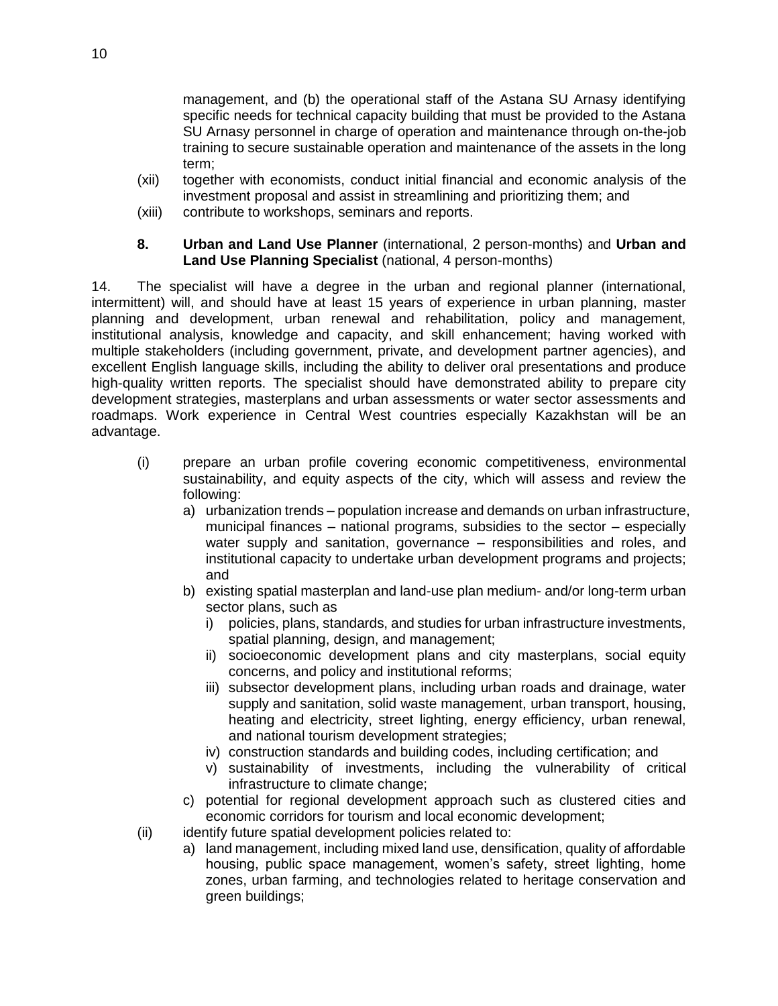management, and (b) the operational staff of the Astana SU Arnasy identifying specific needs for technical capacity building that must be provided to the Astana SU Arnasy personnel in charge of operation and maintenance through on-the-job training to secure sustainable operation and maintenance of the assets in the long term;

- (xii) together with economists, conduct initial financial and economic analysis of the investment proposal and assist in streamlining and prioritizing them; and
- (xiii) contribute to workshops, seminars and reports.

#### **8. Urban and Land Use Planner** (international, 2 person-months) and **Urban and Land Use Planning Specialist** (national, 4 person-months)

14. The specialist will have a degree in the urban and regional planner (international, intermittent) will, and should have at least 15 years of experience in urban planning, master planning and development, urban renewal and rehabilitation, policy and management, institutional analysis, knowledge and capacity, and skill enhancement; having worked with multiple stakeholders (including government, private, and development partner agencies), and excellent English language skills, including the ability to deliver oral presentations and produce high-quality written reports. The specialist should have demonstrated ability to prepare city development strategies, masterplans and urban assessments or water sector assessments and roadmaps. Work experience in Central West countries especially Kazakhstan will be an advantage.

- (i) prepare an urban profile covering economic competitiveness, environmental sustainability, and equity aspects of the city, which will assess and review the following:
	- a) urbanization trends population increase and demands on urban infrastructure, municipal finances – national programs, subsidies to the sector – especially water supply and sanitation, governance – responsibilities and roles, and institutional capacity to undertake urban development programs and projects; and
	- b) existing spatial masterplan and land-use plan medium- and/or long-term urban sector plans, such as
		- i) policies, plans, standards, and studies for urban infrastructure investments, spatial planning, design, and management;
		- ii) socioeconomic development plans and city masterplans, social equity concerns, and policy and institutional reforms;
		- iii) subsector development plans, including urban roads and drainage, water supply and sanitation, solid waste management, urban transport, housing, heating and electricity, street lighting, energy efficiency, urban renewal, and national tourism development strategies;
		- iv) construction standards and building codes, including certification; and
		- v) sustainability of investments, including the vulnerability of critical infrastructure to climate change;
	- c) potential for regional development approach such as clustered cities and economic corridors for tourism and local economic development;
- (ii) identify future spatial development policies related to:
	- a) land management, including mixed land use, densification, quality of affordable housing, public space management, women's safety, street lighting, home zones, urban farming, and technologies related to heritage conservation and green buildings;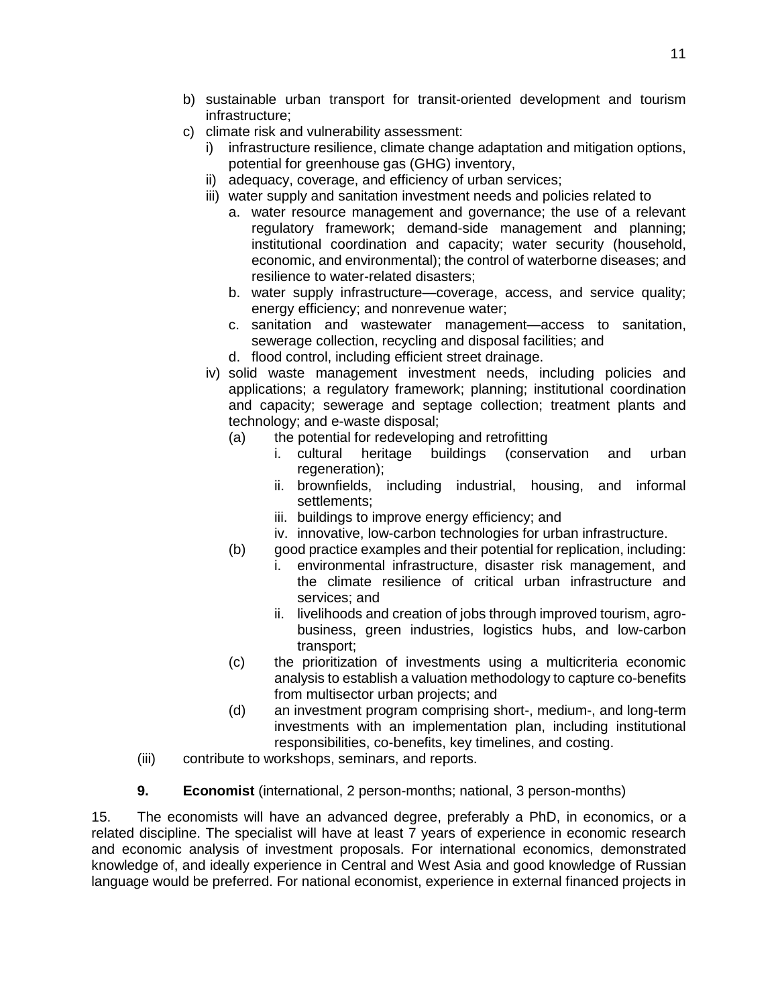- b) sustainable urban transport for transit-oriented development and tourism infrastructure;
- c) climate risk and vulnerability assessment:
	- i) infrastructure resilience, climate change adaptation and mitigation options, potential for greenhouse gas (GHG) inventory,
	- ii) adequacy, coverage, and efficiency of urban services;
	- iii) water supply and sanitation investment needs and policies related to
		- a. water resource management and governance; the use of a relevant regulatory framework; demand-side management and planning; institutional coordination and capacity; water security (household, economic, and environmental); the control of waterborne diseases; and resilience to water-related disasters;
		- b. water supply infrastructure—coverage, access, and service quality; energy efficiency; and nonrevenue water;
		- c. sanitation and wastewater management—access to sanitation, sewerage collection, recycling and disposal facilities; and
		- d. flood control, including efficient street drainage.
	- iv) solid waste management investment needs, including policies and applications; a regulatory framework; planning; institutional coordination and capacity; sewerage and septage collection; treatment plants and technology; and e-waste disposal;
		- (a) the potential for redeveloping and retrofitting
			- i. cultural heritage buildings (conservation and urban regeneration);
			- ii. brownfields, including industrial, housing, and informal settlements;
			- iii. buildings to improve energy efficiency; and
			- iv. innovative, low-carbon technologies for urban infrastructure.
		- (b) good practice examples and their potential for replication, including:
			- i. environmental infrastructure, disaster risk management, and the climate resilience of critical urban infrastructure and services; and
			- ii. livelihoods and creation of jobs through improved tourism, agrobusiness, green industries, logistics hubs, and low-carbon transport;
		- (c) the prioritization of investments using a multicriteria economic analysis to establish a valuation methodology to capture co-benefits from multisector urban projects; and
		- (d) an investment program comprising short-, medium-, and long-term investments with an implementation plan, including institutional responsibilities, co-benefits, key timelines, and costing.
- (iii) contribute to workshops, seminars, and reports.
- **9. Economist** (international, 2 person-months; national, 3 person-months)

15. The economists will have an advanced degree, preferably a PhD, in economics, or a related discipline. The specialist will have at least 7 years of experience in economic research and economic analysis of investment proposals. For international economics, demonstrated knowledge of, and ideally experience in Central and West Asia and good knowledge of Russian language would be preferred. For national economist, experience in external financed projects in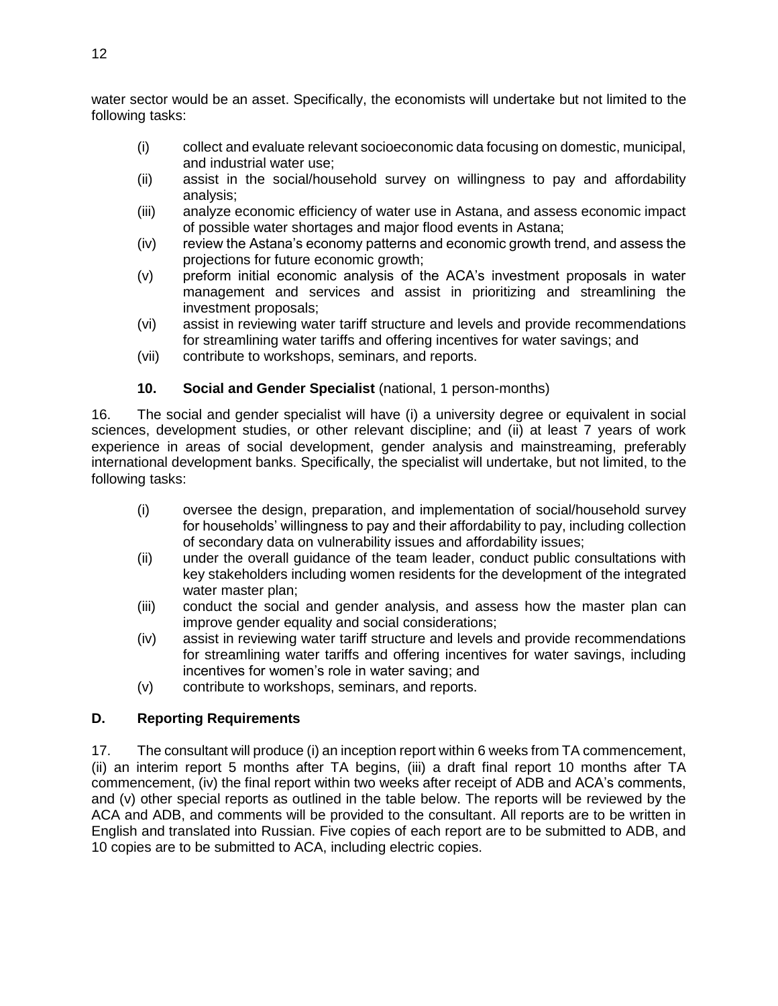water sector would be an asset. Specifically, the economists will undertake but not limited to the following tasks:

- (i) collect and evaluate relevant socioeconomic data focusing on domestic, municipal, and industrial water use;
- (ii) assist in the social/household survey on willingness to pay and affordability analysis;
- (iii) analyze economic efficiency of water use in Astana, and assess economic impact of possible water shortages and major flood events in Astana;
- (iv) review the Astana's economy patterns and economic growth trend, and assess the projections for future economic growth;
- (v) preform initial economic analysis of the ACA's investment proposals in water management and services and assist in prioritizing and streamlining the investment proposals;
- (vi) assist in reviewing water tariff structure and levels and provide recommendations for streamlining water tariffs and offering incentives for water savings; and
- (vii) contribute to workshops, seminars, and reports.

## **10. Social and Gender Specialist** (national, 1 person-months)

16. The social and gender specialist will have (i) a university degree or equivalent in social sciences, development studies, or other relevant discipline; and (ii) at least 7 years of work experience in areas of social development, gender analysis and mainstreaming, preferably international development banks. Specifically, the specialist will undertake, but not limited, to the following tasks:

- (i) oversee the design, preparation, and implementation of social/household survey for households' willingness to pay and their affordability to pay, including collection of secondary data on vulnerability issues and affordability issues;
- (ii) under the overall guidance of the team leader, conduct public consultations with key stakeholders including women residents for the development of the integrated water master plan;
- (iii) conduct the social and gender analysis, and assess how the master plan can improve gender equality and social considerations;
- (iv) assist in reviewing water tariff structure and levels and provide recommendations for streamlining water tariffs and offering incentives for water savings, including incentives for women's role in water saving; and
- (v) contribute to workshops, seminars, and reports.

## **D. Reporting Requirements**

17. The consultant will produce (i) an inception report within 6 weeks from TA commencement, (ii) an interim report 5 months after TA begins, (iii) a draft final report 10 months after TA commencement, (iv) the final report within two weeks after receipt of ADB and ACA's comments, and (v) other special reports as outlined in the table below. The reports will be reviewed by the ACA and ADB, and comments will be provided to the consultant. All reports are to be written in English and translated into Russian. Five copies of each report are to be submitted to ADB, and 10 copies are to be submitted to ACA, including electric copies.